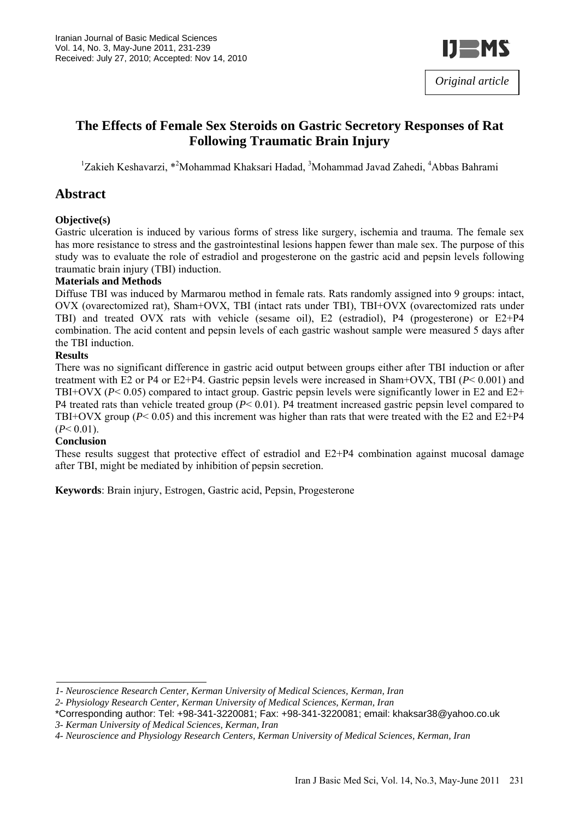

# **The Effects of Female Sex Steroids on Gastric Secretory Responses of Rat Following Traumatic Brain Injury**

<sup>1</sup>Zakieh Keshavarzi, \*<sup>2</sup>Mohammad Khaksari Hadad, <sup>3</sup>Mohammad Javad Zahedi, <sup>4</sup>Abbas Bahrami

### **Abstract**

#### **Objective(s)**

Gastric ulceration is induced by various forms of stress like surgery, ischemia and trauma. The female sex has more resistance to stress and the gastrointestinal lesions happen fewer than male sex. The purpose of this study was to evaluate the role of estradiol and progesterone on the gastric acid and pepsin levels following traumatic brain injury (TBI) induction.

#### **Materials and Methods**

Diffuse TBI was induced by Marmarou method in female rats. Rats randomly assigned into 9 groups: intact, OVX (ovarectomized rat), Sham+OVX, TBI (intact rats under TBI), TBI+OVX (ovarectomized rats under TBI) and treated OVX rats with vehicle (sesame oil), E2 (estradiol), P4 (progesterone) or E2+P4 combination. The acid content and pepsin levels of each gastric washout sample were measured 5 days after the TBI induction.

#### **Results**

There was no significant difference in gastric acid output between groups either after TBI induction or after treatment with E2 or P4 or E2+P4. Gastric pepsin levels were increased in Sham+OVX, TBI (*P*< 0.001) and TBI+OVX (*P*< 0.05) compared to intact group. Gastric pepsin levels were significantly lower in E2 and E2+ P4 treated rats than vehicle treated group (*P*< 0.01). P4 treatment increased gastric pepsin level compared to TBI+OVX group (*P*< 0.05) and this increment was higher than rats that were treated with the E2 and E2+P4  $(P< 0.01)$ .

#### **Conclusion**

These results suggest that protective effect of estradiol and E2+P4 combination against mucosal damage after TBI, might be mediated by inhibition of pepsin secretion.

**Keywords**: Brain injury, Estrogen, Gastric acid, Pepsin, Progesterone

*<sup>1-</sup> Neuroscience Research Center, Kerman University of Medical Sciences, Kerman, Iran* 

*<sup>2-</sup> Physiology Research Center, Kerman University of Medical Sciences, Kerman, Iran* 

<sup>\*</sup>Corresponding author: Tel: +98-341-3220081; Fax: +98-341-3220081; email: khaksar38@yahoo.co.uk

*<sup>3-</sup> Kerman University of Medical Sciences, Kerman, Iran* 

*<sup>4-</sup> Neuroscience and Physiology Research Centers, Kerman University of Medical Sciences, Kerman, Iran*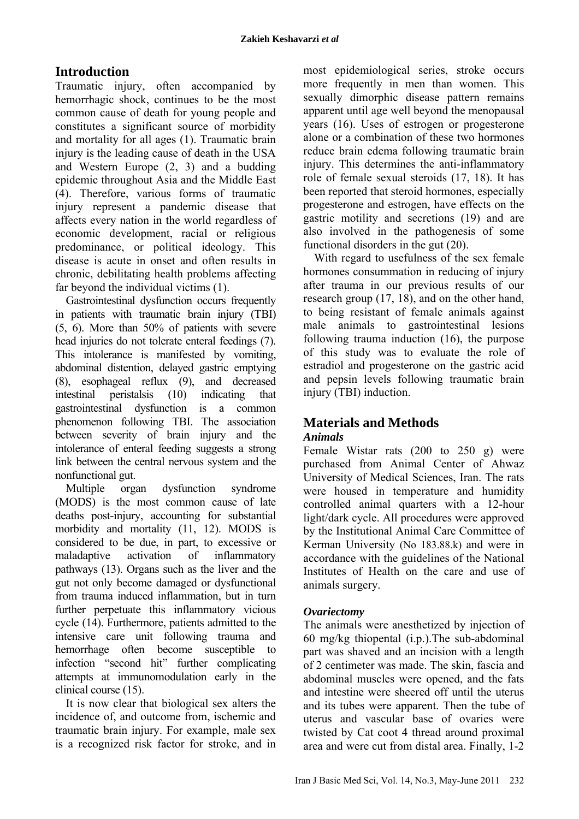## **Introduction**

Traumatic injury, often accompanied by hemorrhagic shock, continues to be the most common cause of death for young people and constitutes a significant source of morbidity and mortality for all ages (1). Traumatic brain injury is the leading cause of death in the USA and Western Europe (2, 3) and a budding epidemic throughout Asia and the Middle East (4). Therefore, various forms of traumatic injury represent a pandemic disease that affects every nation in the world regardless of economic development, racial or religious predominance, or political ideology. This disease is acute in onset and often results in chronic, debilitating health problems affecting far beyond the individual victims (1).

Gastrointestinal dysfunction occurs frequently in patients with traumatic brain injury (TBI) (5, 6). More than 50% of patients with severe head injuries do not tolerate enteral feedings (7). This intolerance is manifested by vomiting, abdominal distention, delayed gastric emptying (8), esophageal reflux (9), and decreased intestinal peristalsis (10) indicating that gastrointestinal dysfunction is a common phenomenon following TBI. The association between severity of brain injury and the intolerance of enteral feeding suggests a strong link between the central nervous system and the nonfunctional gut.

Multiple organ dysfunction syndrome (MODS) is the most common cause of late deaths post-injury, accounting for substantial morbidity and mortality (11, 12). MODS is considered to be due, in part, to excessive or maladaptive activation of inflammatory pathways (13). Organs such as the liver and the gut not only become damaged or dysfunctional from trauma induced inflammation, but in turn further perpetuate this inflammatory vicious cycle (14). Furthermore, patients admitted to the intensive care unit following trauma and hemorrhage often become susceptible to infection "second hit" further complicating attempts at immunomodulation early in the clinical course (15).

It is now clear that biological sex alters the incidence of, and outcome from, ischemic and traumatic brain injury. For example, male sex is a recognized risk factor for stroke, and in most epidemiological series, stroke occurs more frequently in men than women. This sexually dimorphic disease pattern remains apparent until age well beyond the menopausal years (16). Uses of estrogen or progesterone alone or a combination of these two hormones reduce brain edema following traumatic brain injury. This determines the anti-inflammatory role of female sexual steroids (17, 18). It has been reported that steroid hormones, especially progesterone and estrogen, have effects on the gastric motility and secretions (19) and are also involved in the pathogenesis of some functional disorders in the gut (20).

With regard to usefulness of the sex female hormones consummation in reducing of injury after trauma in our previous results of our research group (17, 18), and on the other hand, to being resistant of female animals against male animals to gastrointestinal lesions following trauma induction (16), the purpose of this study was to evaluate the role of estradiol and progesterone on the gastric acid and pepsin levels following traumatic brain injury (TBI) induction.

## **Materials and Methods**

### *Animals*

Female Wistar rats (200 to 250 g) were purchased from Animal Center of Ahwaz University of Medical Sciences, Iran. The rats were housed in temperature and humidity controlled animal quarters with a 12-hour light/dark cycle. All procedures were approved by the Institutional Animal Care Committee of Kerman University (No 183.88.k) and were in accordance with the guidelines of the National Institutes of Health on the care and use of animals surgery.

### *Ovariectomy*

The animals were anesthetized by injection of 60 mg/kg thiopental (i.p.).The sub-abdominal part was shaved and an incision with a length of 2 centimeter was made. The skin, fascia and abdominal muscles were opened, and the fats and intestine were sheered off until the uterus and its tubes were apparent. Then the tube of uterus and vascular base of ovaries were twisted by Cat coot 4 thread around proximal area and were cut from distal area. Finally, 1-2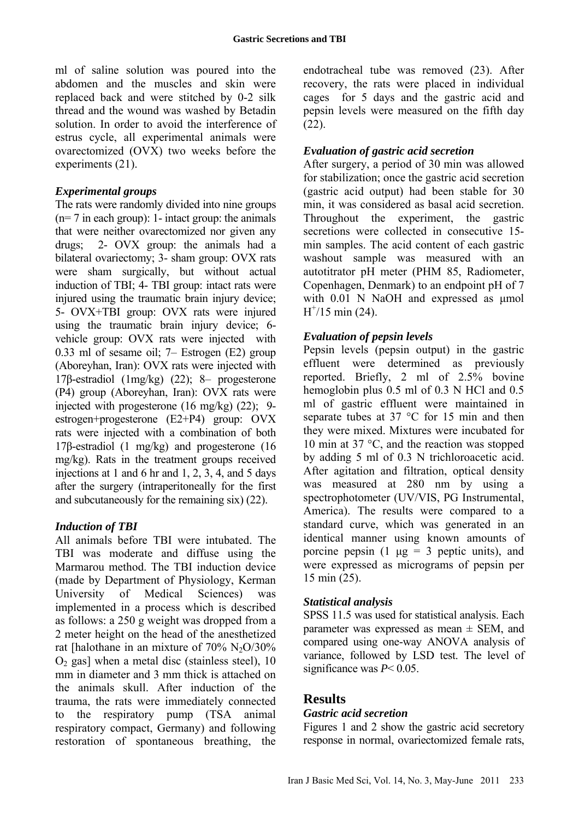ml of saline solution was poured into the abdomen and the muscles and skin were replaced back and were stitched by 0-2 silk thread and the wound was washed by Betadin solution. In order to avoid the interference of estrus cycle, all experimental animals were ovarectomized (OVX) two weeks before the experiments (21).

#### *Experimental groups*

The rats were randomly divided into nine groups (n= 7 in each group): 1- intact group: the animals that were neither ovarectomized nor given any drugs; 2- OVX group: the animals had a bilateral ovariectomy; 3- sham group: OVX rats were sham surgically, but without actual induction of TBI; 4- TBI group: intact rats were injured using the traumatic brain injury device; 5- OVX+TBI group: OVX rats were injured using the traumatic brain injury device; 6 vehicle group: OVX rats were injected with 0.33 ml of sesame oil; 7– Estrogen (E2) group (Aboreyhan, Iran): OVX rats were injected with 17β-estradiol (1mg/kg) (22); 8– progesterone (P4) group (Aboreyhan, Iran): OVX rats were injected with progesterone (16 mg/kg) (22); 9 estrogen+progesterone (E2+P4) group: OVX rats were injected with a combination of both 17β-estradiol (1 mg/kg) and progesterone (16 mg/kg). Rats in the treatment groups received injections at 1 and 6 hr and 1, 2, 3, 4, and 5 days after the surgery (intraperitoneally for the first and subcutaneously for the remaining six) (22).

#### *Induction of TBI*

All animals before TBI were intubated. The TBI was moderate and diffuse using the Marmarou method. The TBI induction device (made by Department of Physiology, Kerman University of Medical Sciences) was implemented in a process which is described as follows: a 250 g weight was dropped from a 2 meter height on the head of the anesthetized rat [halothane in an mixture of  $70\%$  N<sub>2</sub>O/30%  $O<sub>2</sub>$  gas] when a metal disc (stainless steel), 10 mm in diameter and 3 mm thick is attached on the animals skull. After induction of the trauma, the rats were immediately connected to the respiratory pump (TSA animal respiratory compact, Germany) and following restoration of spontaneous breathing, the

endotracheal tube was removed (23). After recovery, the rats were placed in individual cages for 5 days and the gastric acid and pepsin levels were measured on the fifth day  $(22)$ 

### *Evaluation of gastric acid secretion*

After surgery, a period of 30 min was allowed for stabilization; once the gastric acid secretion (gastric acid output) had been stable for 30 min, it was considered as basal acid secretion. Throughout the experiment, the gastric secretions were collected in consecutive 15 min samples. The acid content of each gastric washout sample was measured with an autotitrator pH meter (PHM 85, Radiometer, Copenhagen, Denmark) to an endpoint pH of 7 with 0.01 N NaOH and expressed as µmol  $H^{\dagger}/15$  min (24).

#### *Evaluation of pepsin levels*

Pepsin levels (pepsin output) in the gastric effluent were determined as previously reported. Briefly, 2 ml of 2.5% bovine hemoglobin plus 0.5 ml of 0.3 N HCl and 0.5 ml of gastric effluent were maintained in separate tubes at 37 °C for 15 min and then they were mixed. Mixtures were incubated for 10 min at 37 °C, and the reaction was stopped by adding 5 ml of 0.3 N trichloroacetic acid. After agitation and filtration, optical density was measured at 280 nm by using a spectrophotometer (UV/VIS, PG Instrumental, America). The results were compared to a standard curve, which was generated in an identical manner using known amounts of porcine pepsin (1  $\mu$ g = 3 peptic units), and were expressed as micrograms of pepsin per 15 min (25).

#### *Statistical analysis*

SPSS 11.5 was used for statistical analysis. Each parameter was expressed as mean  $\pm$  SEM, and compared using one-way ANOVA analysis of variance, followed by LSD test. The level of significance was *P*< 0.05.

### **Results**

#### *Gastric acid secretion*

Figures 1 and 2 show the gastric acid secretory response in normal, ovariectomized female rats,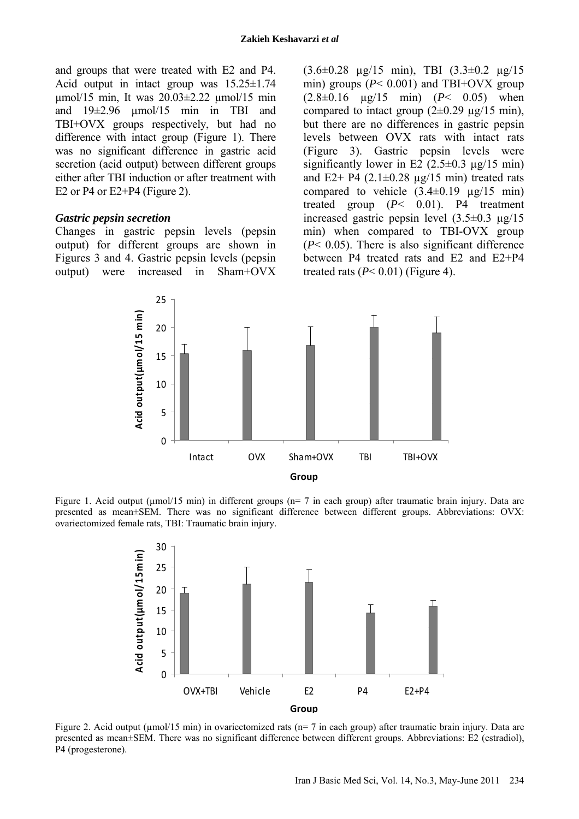and groups that were treated with E2 and P4. Acid output in intact group was  $15.25 \pm 1.74$ µmol/15 min, It was 20.03±2.22 µmol/15 min and 19±2.96 µmol/15 min in TBI and TBI+OVX groups respectively, but had no difference with intact group (Figure 1). There was no significant difference in gastric acid secretion (acid output) between different groups either after TBI induction or after treatment with E2 or P4 or  $E2+P4$  (Figure 2).

#### *Gastric pepsin secretion*

Changes in gastric pepsin levels (pepsin output) for different groups are shown in Figures 3 and 4. Gastric pepsin levels (pepsin output) were increased in Sham+OVX (3.6±0.28 µg/15 min), TBI (3.3±0.2 µg/15 min) groups  $(P< 0.001)$  and TBI+OVX group (2.8±0.16 µg/15 min) (*P*< 0.05) when compared to intact group  $(2\pm 0.29 \text{ µg}/15 \text{ min})$ , but there are no differences in gastric pepsin levels between OVX rats with intact rats (Figure 3). Gastric pepsin levels were significantly lower in E2  $(2.5\pm0.3 \text{ µg}/15 \text{ min})$ and E2+ P4  $(2.1\pm0.28 \text{ µg}/15 \text{ min})$  treated rats compared to vehicle  $(3.4\pm0.19 \text{ µg}/15 \text{ min})$ treated group (*P*< 0.01). P4 treatment increased gastric pepsin level (3.5±0.3 µg/15 min) when compared to TBI-OVX group  $(P< 0.05)$ . There is also significant difference between P4 treated rats and E2 and E2+P4 treated rats  $(P< 0.01)$  (Figure 4).



Figure 1. Acid output (µmol/15 min) in different groups (n= 7 in each group) after traumatic brain injury. Data are presented as mean±SEM. There was no significant difference between different groups. Abbreviations: OVX: ovariectomized female rats, TBI: Traumatic brain injury.



Figure 2. Acid output ( $\mu$ mol/15 min) in ovariectomized rats ( $n=7$  in each group) after traumatic brain injury. Data are presented as mean±SEM. There was no significant difference between different groups. Abbreviations: E2 (estradiol), P4 (progesterone).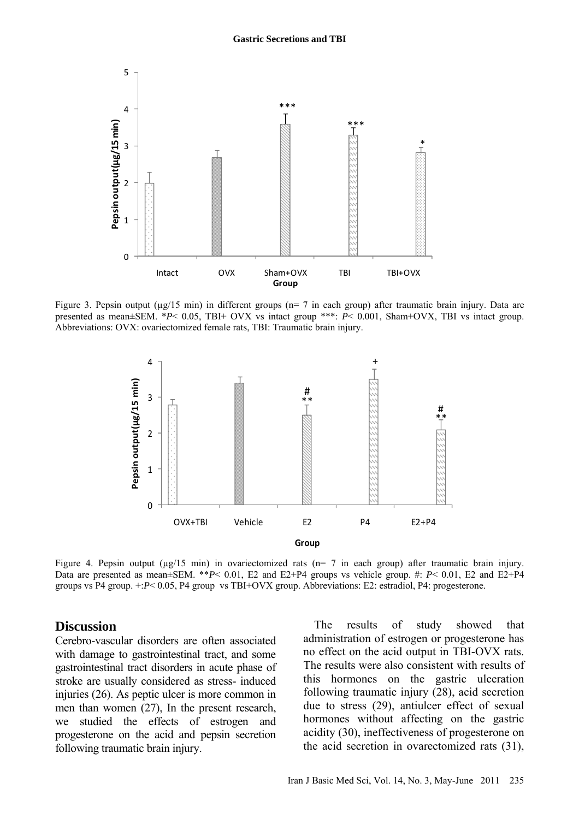

Figure 3. Pepsin output ( $\mu$ g/15 min) in different groups ( $n=7$  in each group) after traumatic brain injury. Data are presented as mean±SEM. \**P*< 0.05, TBI+ OVX vs intact group \*\*\*: *P*< 0.001, Sham+OVX, TBI vs intact group. Abbreviations: OVX: ovariectomized female rats, TBI: Traumatic brain injury.



Figure 4. Pepsin output ( $\mu$ g/15 min) in ovariectomized rats (n= 7 in each group) after traumatic brain injury. Data are presented as mean±SEM. \*\**P*< 0.01, E2 and E2+P4 groups vs vehicle group. #: *P*< 0.01, E2 and E2+P4 groups vs P4 group. +:*P*< 0.05, P4 group vs TBI+OVX group. Abbreviations: E2: estradiol, P4: progesterone.

#### **Discussion**

Cerebro-vascular disorders are often associated with damage to gastrointestinal tract, and some gastrointestinal tract disorders in acute phase of stroke are usually considered as stress- induced injuries (26). As peptic ulcer is more common in men than women (27), In the present research, we studied the effects of estrogen and progesterone on the acid and pepsin secretion following traumatic brain injury.

The results of study showed that administration of estrogen or progesterone has no effect on the acid output in TBI-OVX rats. The results were also consistent with results of this hormones on the gastric ulceration following traumatic injury (28), acid secretion due to stress (29), antiulcer effect of sexual hormones without affecting on the gastric acidity (30), ineffectiveness of progesterone on the acid secretion in ovarectomized rats (31),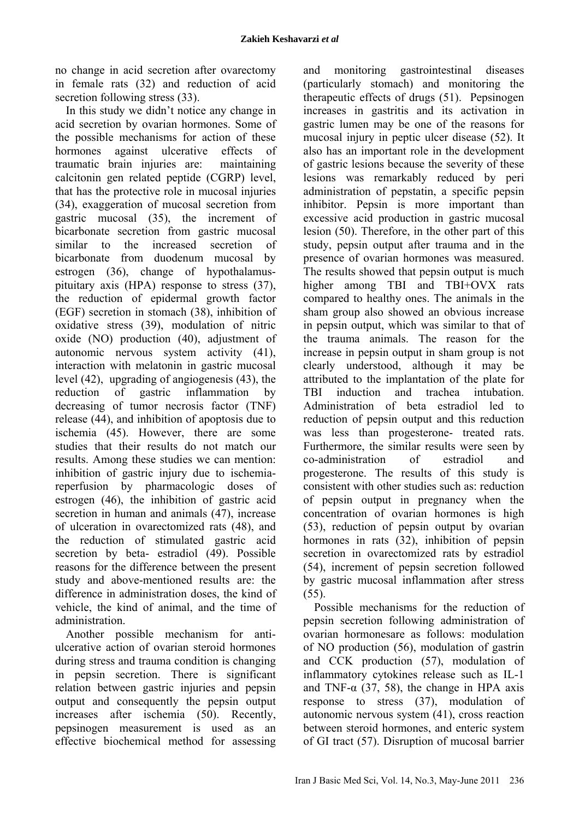no change in acid secretion after ovarectomy in female rats (32) and reduction of acid secretion following stress (33).

In this study we didn't notice any change in acid secretion by ovarian hormones. Some of the possible mechanisms for action of these hormones against ulcerative effects of traumatic brain injuries are: maintaining calcitonin gen related peptide (CGRP) level, that has the protective role in mucosal injuries (34), exaggeration of mucosal secretion from gastric mucosal (35), the increment of bicarbonate secretion from gastric mucosal similar to the increased secretion of bicarbonate from duodenum mucosal by estrogen (36), change of hypothalamuspituitary axis (HPA) response to stress (37), the reduction of epidermal growth factor (EGF) secretion in stomach (38), inhibition of oxidative stress (39), modulation of nitric oxide (NO) production (40), adjustment of autonomic nervous system activity (41), interaction with melatonin in gastric mucosal level (42), upgrading of angiogenesis (43), the reduction of gastric inflammation by decreasing of tumor necrosis factor (TNF) release (44), and inhibition of apoptosis due to ischemia (45). However, there are some studies that their results do not match our results. Among these studies we can mention: inhibition of gastric injury due to ischemiareperfusion by pharmacologic doses of estrogen (46), the inhibition of gastric acid secretion in human and animals (47), increase of ulceration in ovarectomized rats (48), and the reduction of stimulated gastric acid secretion by beta- estradiol (49). Possible reasons for the difference between the present study and above-mentioned results are: the difference in administration doses, the kind of vehicle, the kind of animal, and the time of administration.

Another possible mechanism for antiulcerative action of ovarian steroid hormones during stress and trauma condition is changing in pepsin secretion. There is significant relation between gastric injuries and pepsin output and consequently the pepsin output increases after ischemia (50). Recently, pepsinogen measurement is used as an effective biochemical method for assessing and monitoring gastrointestinal diseases (particularly stomach) and monitoring the therapeutic effects of drugs (51). Pepsinogen increases in gastritis and its activation in gastric lumen may be one of the reasons for mucosal injury in peptic ulcer disease (52). It also has an important role in the development of gastric lesions because the severity of these lesions was remarkably reduced by peri administration of pepstatin, a specific pepsin inhibitor. Pepsin is more important than excessive acid production in gastric mucosal lesion (50). Therefore, in the other part of this study, pepsin output after trauma and in the presence of ovarian hormones was measured. The results showed that pepsin output is much higher among TBI and TBI+OVX rats compared to healthy ones. The animals in the sham group also showed an obvious increase in pepsin output, which was similar to that of the trauma animals. The reason for the increase in pepsin output in sham group is not clearly understood, although it may be attributed to the implantation of the plate for TBI induction and trachea intubation. Administration of beta estradiol led to reduction of pepsin output and this reduction was less than progesterone- treated rats. Furthermore, the similar results were seen by co-administration of estradiol and progesterone. The results of this study is consistent with other studies such as: reduction of pepsin output in pregnancy when the concentration of ovarian hormones is high (53), reduction of pepsin output by ovarian hormones in rats (32), inhibition of pepsin secretion in ovarectomized rats by estradiol (54), increment of pepsin secretion followed by gastric mucosal inflammation after stress  $(55)$ .

Possible mechanisms for the reduction of pepsin secretion following administration of ovarian hormonesare as follows: modulation of NO production (56), modulation of gastrin and CCK production (57), modulation of inflammatory cytokines release such as IL-1 and TNF- $\alpha$  (37, 58), the change in HPA axis response to stress (37), modulation of autonomic nervous system (41), cross reaction between steroid hormones, and enteric system of GI tract (57). Disruption of mucosal barrier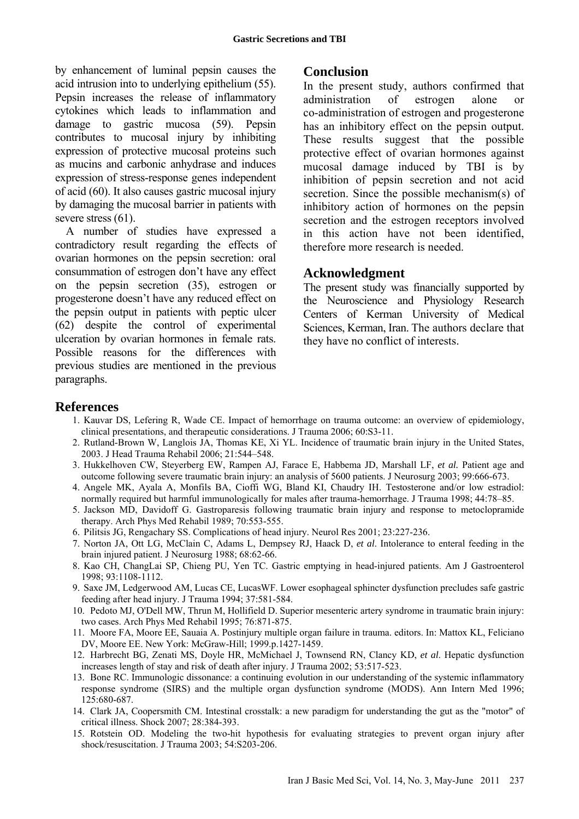by enhancement of luminal pepsin causes the acid intrusion into to underlying epithelium (55). Pepsin increases the release of inflammatory cytokines which leads to inflammation and damage to gastric mucosa (59). Pepsin contributes to mucosal injury by inhibiting expression of protective mucosal proteins such as mucins and carbonic anhydrase and induces expression of stress-response genes independent of acid (60). It also causes gastric mucosal injury by damaging the mucosal barrier in patients with severe stress  $(61)$ .

A number of studies have expressed a contradictory result regarding the effects of ovarian hormones on the pepsin secretion: oral consummation of estrogen don't have any effect on the pepsin secretion (35), estrogen or progesterone doesn't have any reduced effect on the pepsin output in patients with peptic ulcer (62) despite the control of experimental ulceration by ovarian hormones in female rats. Possible reasons for the differences with previous studies are mentioned in the previous paragraphs.

### **Conclusion**

In the present study, authors confirmed that administration of estrogen alone or co-administration of estrogen and progesterone has an inhibitory effect on the pepsin output. These results suggest that the possible protective effect of ovarian hormones against mucosal damage induced by TBI is by inhibition of pepsin secretion and not acid secretion. Since the possible mechanism(s) of inhibitory action of hormones on the pepsin secretion and the estrogen receptors involved in this action have not been identified, therefore more research is needed.

### **Acknowledgment**

The present study was financially supported by the Neuroscience and Physiology Research Centers of Kerman University of Medical Sciences, Kerman, Iran. The authors declare that they have no conflict of interests.

## **References**

- 1. Kauvar DS, Lefering R, Wade CE. Impact of hemorrhage on trauma outcome: an overview of epidemiology, clinical presentations, and therapeutic considerations. J Trauma 2006; 60:S3-11.
- 2. Rutland-Brown W, Langlois JA, Thomas KE, Xi YL. Incidence of traumatic brain injury in the United States, 2003. J Head Trauma Rehabil 2006; 21:544–548.
- 3. Hukkelhoven CW, Steyerberg EW, Rampen AJ, Farace E, Habbema JD, Marshall LF, *et al.* Patient age and outcome following severe traumatic brain injury: an analysis of 5600 patients. J Neurosurg 2003; 99:666-673.
- 4. Angele MK, Ayala A, Monfils BA, Cioffi WG, Bland KI, Chaudry IH. Testosterone and/or low estradiol: normally required but harmful immunologically for males after trauma-hemorrhage. J Trauma 1998; 44:78–85.
- 5. Jackson MD, Davidoff G. Gastroparesis following traumatic brain injury and response to metoclopramide therapy. Arch Phys Med Rehabil 1989; 70:553-555.
- 6. Pilitsis JG, Rengachary SS. Complications of head injury. Neurol Res 2001; 23:227-236.
- 7. Norton JA, Ott LG, McClain C, Adams L, Dempsey RJ, Haack D, *et al*. Intolerance to enteral feeding in the brain injured patient. J Neurosurg 1988; 68:62-66.
- 8. Kao CH, ChangLai SP, Chieng PU, Yen TC. Gastric emptying in head-injured patients. Am J Gastroenterol 1998; 93:1108-1112.
- 9. Saxe JM, Ledgerwood AM, Lucas CE, LucasWF. Lower esophageal sphincter dysfunction precludes safe gastric feeding after head injury. J Trauma 1994; 37:581-584.
- 10. Pedoto MJ, O'Dell MW, Thrun M, Hollifield D. Superior mesenteric artery syndrome in traumatic brain injury: two cases. Arch Phys Med Rehabil 1995; 76:871-875.
- 11. Moore FA, Moore EE, Sauaia A. Postinjury multiple organ failure in trauma. editors. In: Mattox KL, Feliciano DV, Moore EE. New York: McGraw-Hill; 1999.p.1427-1459.
- 12. Harbrecht BG, Zenati MS, Doyle HR, McMichael J, Townsend RN, Clancy KD, *et al*. Hepatic dysfunction increases length of stay and risk of death after injury. J Trauma 2002; 53:517-523.
- 13. Bone RC. Immunologic dissonance: a continuing evolution in our understanding of the systemic inflammatory response syndrome (SIRS) and the multiple organ dysfunction syndrome (MODS). Ann Intern Med 1996; 125:680-687.
- 14. Clark JA, Coopersmith CM. Intestinal crosstalk: a new paradigm for understanding the gut as the "motor" of critical illness. Shock 2007; 28:384-393.
- 15. Rotstein OD. Modeling the two-hit hypothesis for evaluating strategies to prevent organ injury after shock/resuscitation. J Trauma 2003; 54:S203-206.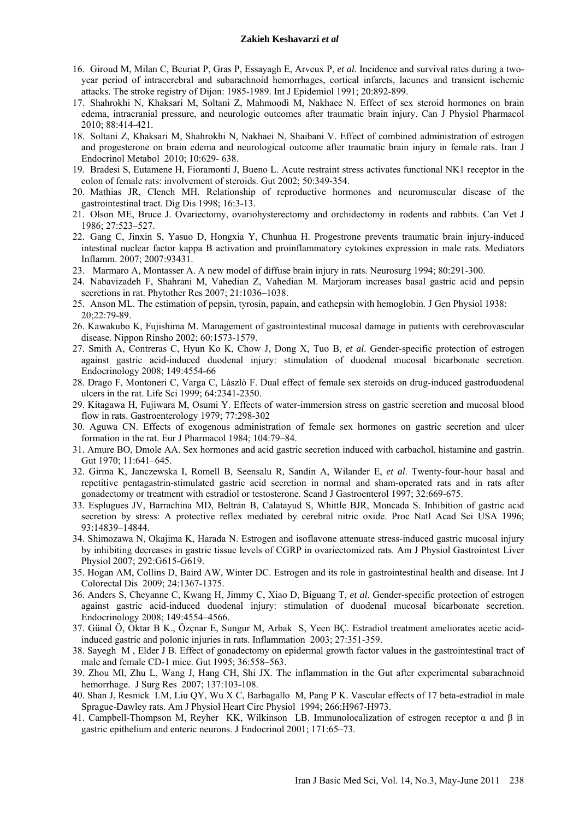#### **Zakieh Keshavarzi** *et al*

- 16. Giroud M, Milan C, Beuriat P, Gras P, Essayagh E, Arveux P, *et al.* Incidence and survival rates during a twoyear period of intracerebral and subarachnoid hemorrhages, cortical infarcts, lacunes and transient ischemic attacks. The stroke registry of Dijon: 1985-1989. Int J Epidemiol 1991; 20:892-899.
- 17. Shahrokhi N, Khaksari M, Soltani Z, Mahmoodi M, Nakhaee N. Effect of sex steroid hormones on brain edema, intracranial pressure, and neurologic outcomes after traumatic brain injury. Can J Physiol Pharmacol 2010; 88:414-421.
- 18. Soltani Z, Khaksari M, Shahrokhi N, Nakhaei N, Shaibani V. Effect of combined administration of estrogen and progesterone on brain edema and neurological outcome after traumatic brain injury in female rats. Iran J Endocrinol Metabol 2010; 10:629- 638.
- 19. Bradesi S, Eutamene H, Fioramonti J, Bueno L. Acute restraint stress activates functional NK1 receptor in the colon of female rats: involvement of steroids. Gut 2002; 50:349-354.
- 20. Mathias JR, Clench MH. Relationship of reproductive hormones and neuromuscular disease of the gastrointestinal tract. Dig Dis 1998; 16:3-13.
- 21. Olson ME, Bruce J. Ovariectomy, ovariohysterectomy and orchidectomy in rodents and rabbits. Can Vet J 1986; 27:523–527.
- 22. Gang C, Jinxin S, Yasuo D, Hongxia Y, Chunhua H. Progestrone prevents traumatic brain injury-induced intestinal nuclear factor kappa B activation and proinflammatory cytokines expression in male rats. Mediators Inflamm. 2007; 2007:93431.
- 23. Marmaro A, Montasser A. A new model of diffuse brain injury in rats. Neurosurg 1994; 80:291-300.
- 24. Nabavizadeh F, Shahrani M, Vahedian Z, Vahedian M. Marjoram increases basal gastric acid and pepsin secretions in rat. Phytother Res 2007; 21:1036–1038.
- 25. Anson ML. The estimation of pepsin, tyrosin, papain, and cathepsin with hemoglobin. J Gen Physiol 1938: 20;22:79-89.
- 26. Kawakubo K, Fujishima M. Management of gastrointestinal mucosal damage in patients with cerebrovascular disease. Nippon Rinsho 2002; 60:1573-1579.
- 27. Smith A, Contreras C, Hyun Ko K, Chow J, Dong X, Tuo B, *et al*. Gender-specific protection of estrogen against gastric acid-induced duodenal injury: stimulation of duodenal mucosal bicarbonate secretion. Endocrinology 2008; 149:4554-66
- 28. Drago F, Montoneri C, Varga C, Làszlò F. Dual effect of female sex steroids on drug-induced gastroduodenal ulcers in the rat. Life Sci 1999; 64:2341-2350.
- 29. Kitagawa H, Fujiwara M, Osumi Y. Effects of water-immersion stress on gastric secretion and mucosal blood flow in rats. Gastroenterology 1979; 77:298-302
- 30. Aguwa CN. Effects of exogenous administration of female sex hormones on gastric secretion and ulcer formation in the rat. Eur J Pharmacol 1984; 104:79–84.
- 31. Amure BO, Dmole AA. Sex hormones and acid gastric secretion induced with carbachol, histamine and gastrin. Gut 1970; 11:641–645.
- 32. Girma K, Janczewska I, Romell B, Seensalu R, Sandin A, Wilander E, *et al*. Twenty-four-hour basal and repetitive pentagastrin-stimulated gastric acid secretion in normal and sham-operated rats and in rats after gonadectomy or treatment with estradiol or testosterone. Scand J Gastroenterol 1997; 32:669-675.
- 33. Esplugues JV, Barrachina MD, Beltrán B, Calatayud S, Whittle BJR, Moncada S. Inhibition of gastric acid secretion by stress: A protective reflex mediated by cerebral nitric oxide. Proc Natl Acad Sci USA 1996; 93:14839–14844.
- 34. Shimozawa N, Okajima K, Harada N. Estrogen and isoflavone attenuate stress-induced gastric mucosal injury by inhibiting decreases in gastric tissue levels of CGRP in ovariectomized rats. Am J Physiol Gastrointest Liver Physiol 2007; 292:G615-G619.
- 35. Hogan AM, Collins D, Baird AW, Winter DC. Estrogen and its role in gastrointestinal health and disease. Int J Colorectal Dis 2009; 24:1367-1375.
- 36. Anders S, Cheyanne C, Kwang H, Jimmy C, Xiao D, Biguang T, *et al*. Gender-specific protection of estrogen against gastric acid-induced duodenal injury: stimulation of duodenal mucosal bicarbonate secretion. Endocrinology 2008; 149:4554–4566.
- 37. Günal Ö, Oktar B K., Özçnar E, Sungur M, Arbak S, Yeen BÇ. Estradiol treatment ameliorates acetic acidinduced gastric and polonic injuries in rats. Inflammation 2003; 27:351-359.
- 38. Sayegh M , Elder J B. Effect of gonadectomy on epidermal growth factor values in the gastrointestinal tract of male and female CD-1 mice. Gut 1995; 36:558–563.
- 39. Zhou Ml, Zhu L, Wang J, Hang CH, Shi JX. The inflammation in the Gut after experimental subarachnoid hemorrhage. J Surg Res 2007; 137:103-108.
- 40. Shan J, Resnick LM, Liu QY, Wu X C, Barbagallo M, Pang P K. Vascular effects of 17 beta-estradiol in male Sprague-Dawley rats. Am J Physiol Heart Circ Physiol 1994; 266:H967-H973.
- 41. Campbell-Thompson M, Reyher KK, Wilkinson LB. Immunolocalization of estrogen receptor α and β in gastric epithelium and enteric neurons. J Endocrinol 2001; 171:65–73.